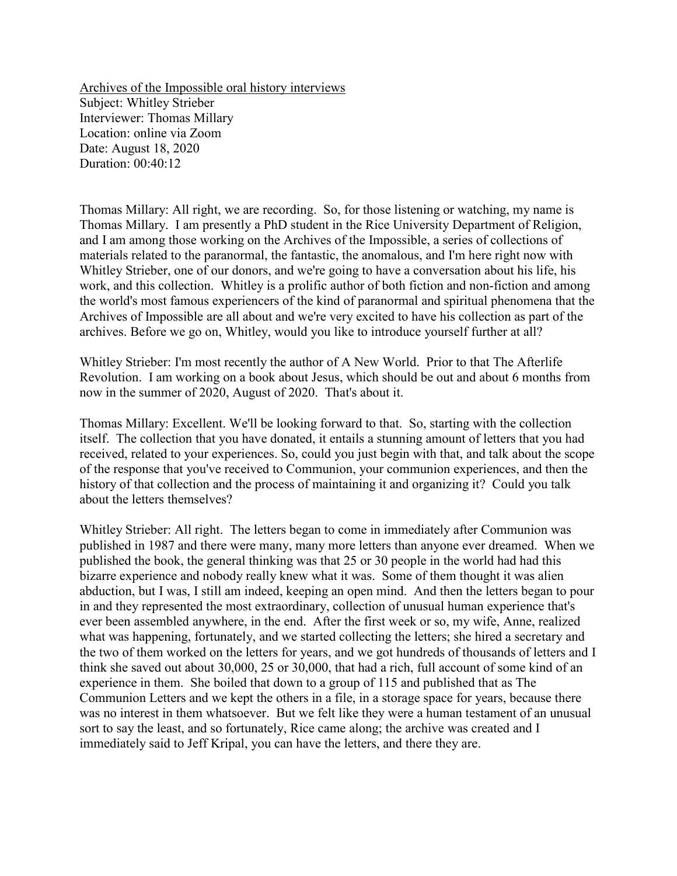Archives of the Impossible oral history interviews Subject: Whitley Strieber Interviewer: Thomas Millary Location: online via Zoom Date: August 18, 2020 Duration: 00:40:12

Thomas Millary: All right, we are recording. So, for those listening or watching, my name is Thomas Millary. I am presently a PhD student in the Rice University Department of Religion, and I am among those working on the Archives of the Impossible, a series of collections of materials related to the paranormal, the fantastic, the anomalous, and I'm here right now with Whitley Strieber, one of our donors, and we're going to have a conversation about his life, his work, and this collection. Whitley is a prolific author of both fiction and non-fiction and among the world's most famous experiencers of the kind of paranormal and spiritual phenomena that the Archives of Impossible are all about and we're very excited to have his collection as part of the archives. Before we go on, Whitley, would you like to introduce yourself further at all?

Whitley Strieber: I'm most recently the author of A New World. Prior to that The Afterlife Revolution. I am working on a book about Jesus, which should be out and about 6 months from now in the summer of 2020, August of 2020. That's about it.

Thomas Millary: Excellent. We'll be looking forward to that. So, starting with the collection itself. The collection that you have donated, it entails a stunning amount of letters that you had received, related to your experiences. So, could you just begin with that, and talk about the scope of the response that you've received to Communion, your communion experiences, and then the history of that collection and the process of maintaining it and organizing it? Could you talk about the letters themselves?

Whitley Strieber: All right. The letters began to come in immediately after Communion was published in 1987 and there were many, many more letters than anyone ever dreamed. When we published the book, the general thinking was that 25 or 30 people in the world had had this bizarre experience and nobody really knew what it was. Some of them thought it was alien abduction, but I was, I still am indeed, keeping an open mind. And then the letters began to pour in and they represented the most extraordinary, collection of unusual human experience that's ever been assembled anywhere, in the end. After the first week or so, my wife, Anne, realized what was happening, fortunately, and we started collecting the letters; she hired a secretary and the two of them worked on the letters for years, and we got hundreds of thousands of letters and I think she saved out about 30,000, 25 or 30,000, that had a rich, full account of some kind of an experience in them. She boiled that down to a group of 115 and published that as The Communion Letters and we kept the others in a file, in a storage space for years, because there was no interest in them whatsoever. But we felt like they were a human testament of an unusual sort to say the least, and so fortunately, Rice came along; the archive was created and I immediately said to Jeff Kripal, you can have the letters, and there they are.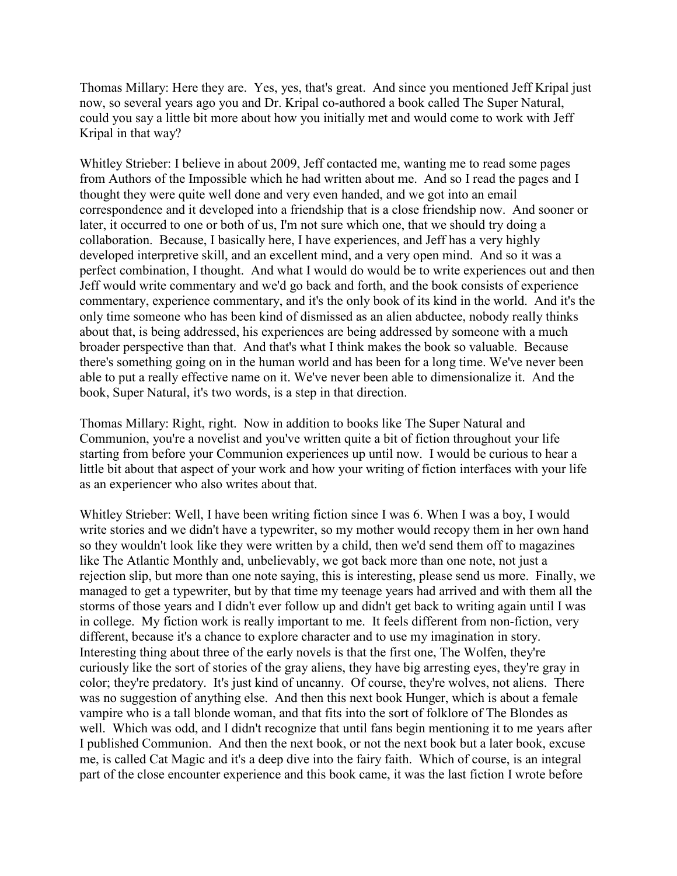Thomas Millary: Here they are. Yes, yes, that's great. And since you mentioned Jeff Kripal just now, so several years ago you and Dr. Kripal co-authored a book called The Super Natural, could you say a little bit more about how you initially met and would come to work with Jeff Kripal in that way?

Whitley Strieber: I believe in about 2009, Jeff contacted me, wanting me to read some pages from Authors of the Impossible which he had written about me. And so I read the pages and I thought they were quite well done and very even handed, and we got into an email correspondence and it developed into a friendship that is a close friendship now. And sooner or later, it occurred to one or both of us, I'm not sure which one, that we should try doing a collaboration. Because, I basically here, I have experiences, and Jeff has a very highly developed interpretive skill, and an excellent mind, and a very open mind. And so it was a perfect combination, I thought. And what I would do would be to write experiences out and then Jeff would write commentary and we'd go back and forth, and the book consists of experience commentary, experience commentary, and it's the only book of its kind in the world. And it's the only time someone who has been kind of dismissed as an alien abductee, nobody really thinks about that, is being addressed, his experiences are being addressed by someone with a much broader perspective than that. And that's what I think makes the book so valuable. Because there's something going on in the human world and has been for a long time. We've never been able to put a really effective name on it. We've never been able to dimensionalize it. And the book, Super Natural, it's two words, is a step in that direction.

Thomas Millary: Right, right. Now in addition to books like The Super Natural and Communion, you're a novelist and you've written quite a bit of fiction throughout your life starting from before your Communion experiences up until now. I would be curious to hear a little bit about that aspect of your work and how your writing of fiction interfaces with your life as an experiencer who also writes about that.

Whitley Strieber: Well, I have been writing fiction since I was 6. When I was a boy, I would write stories and we didn't have a typewriter, so my mother would recopy them in her own hand so they wouldn't look like they were written by a child, then we'd send them off to magazines like The Atlantic Monthly and, unbelievably, we got back more than one note, not just a rejection slip, but more than one note saying, this is interesting, please send us more. Finally, we managed to get a typewriter, but by that time my teenage years had arrived and with them all the storms of those years and I didn't ever follow up and didn't get back to writing again until I was in college. My fiction work is really important to me. It feels different from non-fiction, very different, because it's a chance to explore character and to use my imagination in story. Interesting thing about three of the early novels is that the first one, The Wolfen, they're curiously like the sort of stories of the gray aliens, they have big arresting eyes, they're gray in color; they're predatory. It's just kind of uncanny. Of course, they're wolves, not aliens. There was no suggestion of anything else. And then this next book Hunger, which is about a female vampire who is a tall blonde woman, and that fits into the sort of folklore of The Blondes as well. Which was odd, and I didn't recognize that until fans begin mentioning it to me years after I published Communion. And then the next book, or not the next book but a later book, excuse me, is called Cat Magic and it's a deep dive into the fairy faith. Which of course, is an integral part of the close encounter experience and this book came, it was the last fiction I wrote before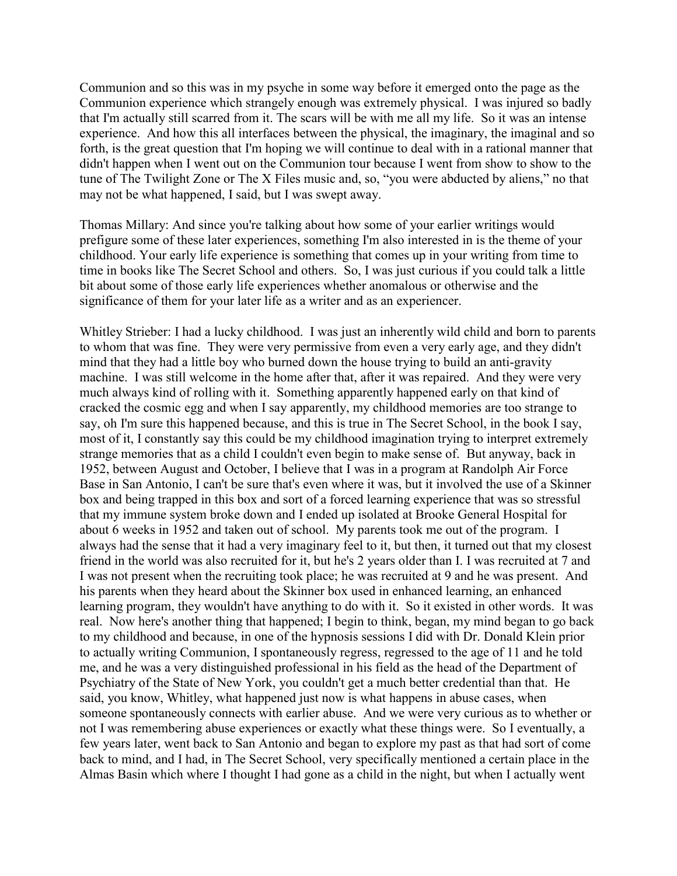Communion and so this was in my psyche in some way before it emerged onto the page as the Communion experience which strangely enough was extremely physical. I was injured so badly that I'm actually still scarred from it. The scars will be with me all my life. So it was an intense experience. And how this all interfaces between the physical, the imaginary, the imaginal and so forth, is the great question that I'm hoping we will continue to deal with in a rational manner that didn't happen when I went out on the Communion tour because I went from show to show to the tune of The Twilight Zone or The X Files music and, so, "you were abducted by aliens," no that may not be what happened, I said, but I was swept away.

Thomas Millary: And since you're talking about how some of your earlier writings would prefigure some of these later experiences, something I'm also interested in is the theme of your childhood. Your early life experience is something that comes up in your writing from time to time in books like The Secret School and others. So, I was just curious if you could talk a little bit about some of those early life experiences whether anomalous or otherwise and the significance of them for your later life as a writer and as an experiencer.

Whitley Strieber: I had a lucky childhood. I was just an inherently wild child and born to parents to whom that was fine. They were very permissive from even a very early age, and they didn't mind that they had a little boy who burned down the house trying to build an anti-gravity machine. I was still welcome in the home after that, after it was repaired. And they were very much always kind of rolling with it. Something apparently happened early on that kind of cracked the cosmic egg and when I say apparently, my childhood memories are too strange to say, oh I'm sure this happened because, and this is true in The Secret School, in the book I say, most of it, I constantly say this could be my childhood imagination trying to interpret extremely strange memories that as a child I couldn't even begin to make sense of. But anyway, back in 1952, between August and October, I believe that I was in a program at Randolph Air Force Base in San Antonio, I can't be sure that's even where it was, but it involved the use of a Skinner box and being trapped in this box and sort of a forced learning experience that was so stressful that my immune system broke down and I ended up isolated at Brooke General Hospital for about 6 weeks in 1952 and taken out of school. My parents took me out of the program. I always had the sense that it had a very imaginary feel to it, but then, it turned out that my closest friend in the world was also recruited for it, but he's 2 years older than I. I was recruited at 7 and I was not present when the recruiting took place; he was recruited at 9 and he was present. And his parents when they heard about the Skinner box used in enhanced learning, an enhanced learning program, they wouldn't have anything to do with it. So it existed in other words. It was real. Now here's another thing that happened; I begin to think, began, my mind began to go back to my childhood and because, in one of the hypnosis sessions I did with Dr. Donald Klein prior to actually writing Communion, I spontaneously regress, regressed to the age of 11 and he told me, and he was a very distinguished professional in his field as the head of the Department of Psychiatry of the State of New York, you couldn't get a much better credential than that. He said, you know, Whitley, what happened just now is what happens in abuse cases, when someone spontaneously connects with earlier abuse. And we were very curious as to whether or not I was remembering abuse experiences or exactly what these things were. So I eventually, a few years later, went back to San Antonio and began to explore my past as that had sort of come back to mind, and I had, in The Secret School, very specifically mentioned a certain place in the Almas Basin which where I thought I had gone as a child in the night, but when I actually went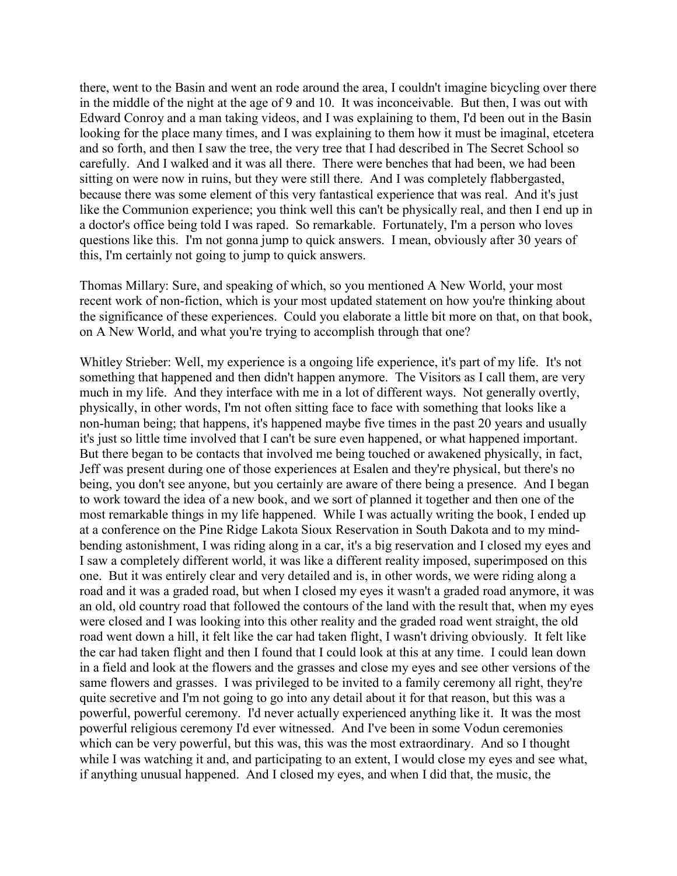there, went to the Basin and went an rode around the area, I couldn't imagine bicycling over there in the middle of the night at the age of 9 and 10. It was inconceivable. But then, I was out with Edward Conroy and a man taking videos, and I was explaining to them, I'd been out in the Basin looking for the place many times, and I was explaining to them how it must be imaginal, etcetera and so forth, and then I saw the tree, the very tree that I had described in The Secret School so carefully. And I walked and it was all there. There were benches that had been, we had been sitting on were now in ruins, but they were still there. And I was completely flabbergasted, because there was some element of this very fantastical experience that was real. And it's just like the Communion experience; you think well this can't be physically real, and then I end up in a doctor's office being told I was raped. So remarkable. Fortunately, I'm a person who loves questions like this. I'm not gonna jump to quick answers. I mean, obviously after 30 years of this, I'm certainly not going to jump to quick answers.

Thomas Millary: Sure, and speaking of which, so you mentioned A New World, your most recent work of non-fiction, which is your most updated statement on how you're thinking about the significance of these experiences. Could you elaborate a little bit more on that, on that book, on A New World, and what you're trying to accomplish through that one?

Whitley Strieber: Well, my experience is a ongoing life experience, it's part of my life. It's not something that happened and then didn't happen anymore. The Visitors as I call them, are very much in my life. And they interface with me in a lot of different ways. Not generally overtly, physically, in other words, I'm not often sitting face to face with something that looks like a non-human being; that happens, it's happened maybe five times in the past 20 years and usually it's just so little time involved that I can't be sure even happened, or what happened important. But there began to be contacts that involved me being touched or awakened physically, in fact, Jeff was present during one of those experiences at Esalen and they're physical, but there's no being, you don't see anyone, but you certainly are aware of there being a presence. And I began to work toward the idea of a new book, and we sort of planned it together and then one of the most remarkable things in my life happened. While I was actually writing the book, I ended up at a conference on the Pine Ridge Lakota Sioux Reservation in South Dakota and to my mindbending astonishment, I was riding along in a car, it's a big reservation and I closed my eyes and I saw a completely different world, it was like a different reality imposed, superimposed on this one. But it was entirely clear and very detailed and is, in other words, we were riding along a road and it was a graded road, but when I closed my eyes it wasn't a graded road anymore, it was an old, old country road that followed the contours of the land with the result that, when my eyes were closed and I was looking into this other reality and the graded road went straight, the old road went down a hill, it felt like the car had taken flight, I wasn't driving obviously. It felt like the car had taken flight and then I found that I could look at this at any time. I could lean down in a field and look at the flowers and the grasses and close my eyes and see other versions of the same flowers and grasses. I was privileged to be invited to a family ceremony all right, they're quite secretive and I'm not going to go into any detail about it for that reason, but this was a powerful, powerful ceremony. I'd never actually experienced anything like it. It was the most powerful religious ceremony I'd ever witnessed. And I've been in some Vodun ceremonies which can be very powerful, but this was, this was the most extraordinary. And so I thought while I was watching it and, and participating to an extent, I would close my eyes and see what, if anything unusual happened. And I closed my eyes, and when I did that, the music, the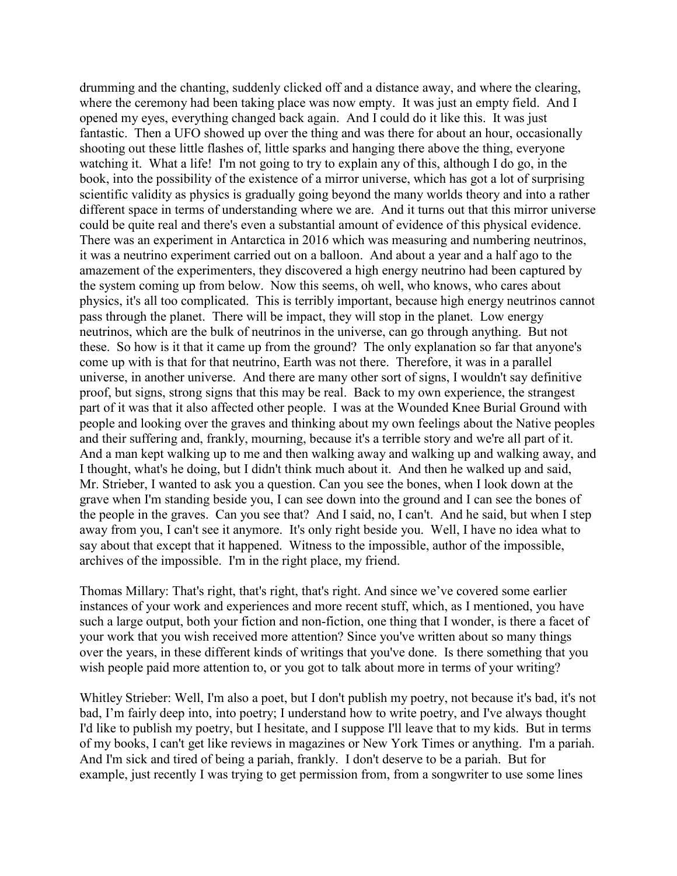drumming and the chanting, suddenly clicked off and a distance away, and where the clearing, where the ceremony had been taking place was now empty. It was just an empty field. And I opened my eyes, everything changed back again. And I could do it like this. It was just fantastic. Then a UFO showed up over the thing and was there for about an hour, occasionally shooting out these little flashes of, little sparks and hanging there above the thing, everyone watching it. What a life! I'm not going to try to explain any of this, although I do go, in the book, into the possibility of the existence of a mirror universe, which has got a lot of surprising scientific validity as physics is gradually going beyond the many worlds theory and into a rather different space in terms of understanding where we are. And it turns out that this mirror universe could be quite real and there's even a substantial amount of evidence of this physical evidence. There was an experiment in Antarctica in 2016 which was measuring and numbering neutrinos, it was a neutrino experiment carried out on a balloon. And about a year and a half ago to the amazement of the experimenters, they discovered a high energy neutrino had been captured by the system coming up from below. Now this seems, oh well, who knows, who cares about physics, it's all too complicated. This is terribly important, because high energy neutrinos cannot pass through the planet. There will be impact, they will stop in the planet. Low energy neutrinos, which are the bulk of neutrinos in the universe, can go through anything. But not these. So how is it that it came up from the ground? The only explanation so far that anyone's come up with is that for that neutrino, Earth was not there. Therefore, it was in a parallel universe, in another universe. And there are many other sort of signs, I wouldn't say definitive proof, but signs, strong signs that this may be real. Back to my own experience, the strangest part of it was that it also affected other people. I was at the Wounded Knee Burial Ground with people and looking over the graves and thinking about my own feelings about the Native peoples and their suffering and, frankly, mourning, because it's a terrible story and we're all part of it. And a man kept walking up to me and then walking away and walking up and walking away, and I thought, what's he doing, but I didn't think much about it. And then he walked up and said, Mr. Strieber, I wanted to ask you a question. Can you see the bones, when I look down at the grave when I'm standing beside you, I can see down into the ground and I can see the bones of the people in the graves. Can you see that? And I said, no, I can't. And he said, but when I step away from you, I can't see it anymore. It's only right beside you. Well, I have no idea what to say about that except that it happened. Witness to the impossible, author of the impossible, archives of the impossible. I'm in the right place, my friend.

Thomas Millary: That's right, that's right, that's right. And since we've covered some earlier instances of your work and experiences and more recent stuff, which, as I mentioned, you have such a large output, both your fiction and non-fiction, one thing that I wonder, is there a facet of your work that you wish received more attention? Since you've written about so many things over the years, in these different kinds of writings that you've done. Is there something that you wish people paid more attention to, or you got to talk about more in terms of your writing?

Whitley Strieber: Well, I'm also a poet, but I don't publish my poetry, not because it's bad, it's not bad, I'm fairly deep into, into poetry; I understand how to write poetry, and I've always thought I'd like to publish my poetry, but I hesitate, and I suppose I'll leave that to my kids. But in terms of my books, I can't get like reviews in magazines or New York Times or anything. I'm a pariah. And I'm sick and tired of being a pariah, frankly. I don't deserve to be a pariah. But for example, just recently I was trying to get permission from, from a songwriter to use some lines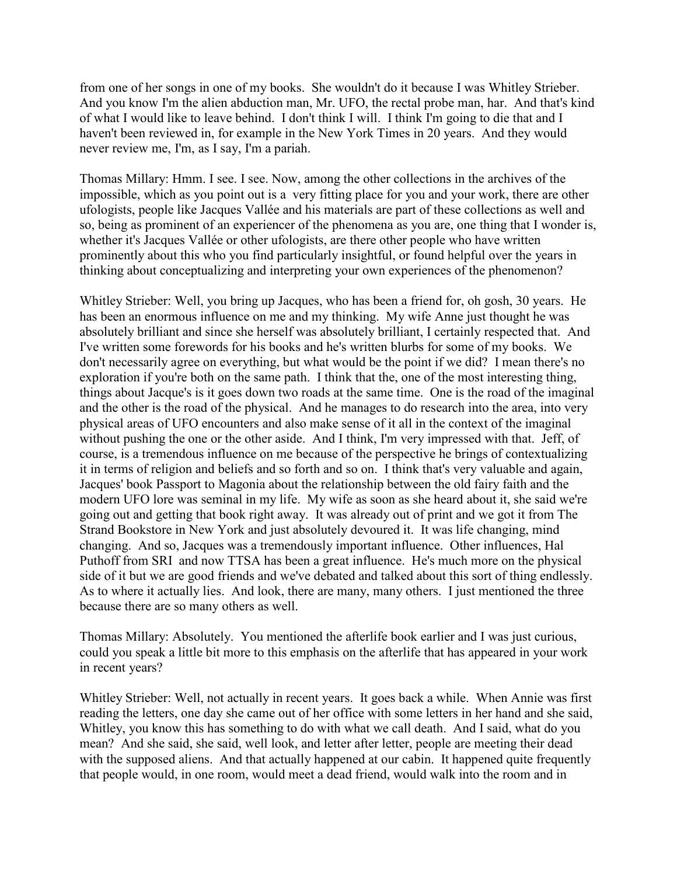from one of her songs in one of my books. She wouldn't do it because I was Whitley Strieber. And you know I'm the alien abduction man, Mr. UFO, the rectal probe man, har. And that's kind of what I would like to leave behind. I don't think I will. I think I'm going to die that and I haven't been reviewed in, for example in the New York Times in 20 years. And they would never review me, I'm, as I say, I'm a pariah.

Thomas Millary: Hmm. I see. I see. Now, among the other collections in the archives of the impossible, which as you point out is a very fitting place for you and your work, there are other ufologists, people like Jacques Vallée and his materials are part of these collections as well and so, being as prominent of an experiencer of the phenomena as you are, one thing that I wonder is, whether it's Jacques Vallée or other ufologists, are there other people who have written prominently about this who you find particularly insightful, or found helpful over the years in thinking about conceptualizing and interpreting your own experiences of the phenomenon?

Whitley Strieber: Well, you bring up Jacques, who has been a friend for, oh gosh, 30 years. He has been an enormous influence on me and my thinking. My wife Anne just thought he was absolutely brilliant and since she herself was absolutely brilliant, I certainly respected that. And I've written some forewords for his books and he's written blurbs for some of my books. We don't necessarily agree on everything, but what would be the point if we did? I mean there's no exploration if you're both on the same path. I think that the, one of the most interesting thing, things about Jacque's is it goes down two roads at the same time. One is the road of the imaginal and the other is the road of the physical. And he manages to do research into the area, into very physical areas of UFO encounters and also make sense of it all in the context of the imaginal without pushing the one or the other aside. And I think, I'm very impressed with that. Jeff, of course, is a tremendous influence on me because of the perspective he brings of contextualizing it in terms of religion and beliefs and so forth and so on. I think that's very valuable and again, Jacques' book Passport to Magonia about the relationship between the old fairy faith and the modern UFO lore was seminal in my life. My wife as soon as she heard about it, she said we're going out and getting that book right away. It was already out of print and we got it from The Strand Bookstore in New York and just absolutely devoured it. It was life changing, mind changing. And so, Jacques was a tremendously important influence. Other influences, Hal Puthoff from SRI and now TTSA has been a great influence. He's much more on the physical side of it but we are good friends and we've debated and talked about this sort of thing endlessly. As to where it actually lies. And look, there are many, many others. I just mentioned the three because there are so many others as well.

Thomas Millary: Absolutely. You mentioned the afterlife book earlier and I was just curious, could you speak a little bit more to this emphasis on the afterlife that has appeared in your work in recent years?

Whitley Strieber: Well, not actually in recent years. It goes back a while. When Annie was first reading the letters, one day she came out of her office with some letters in her hand and she said, Whitley, you know this has something to do with what we call death. And I said, what do you mean? And she said, she said, well look, and letter after letter, people are meeting their dead with the supposed aliens. And that actually happened at our cabin. It happened quite frequently that people would, in one room, would meet a dead friend, would walk into the room and in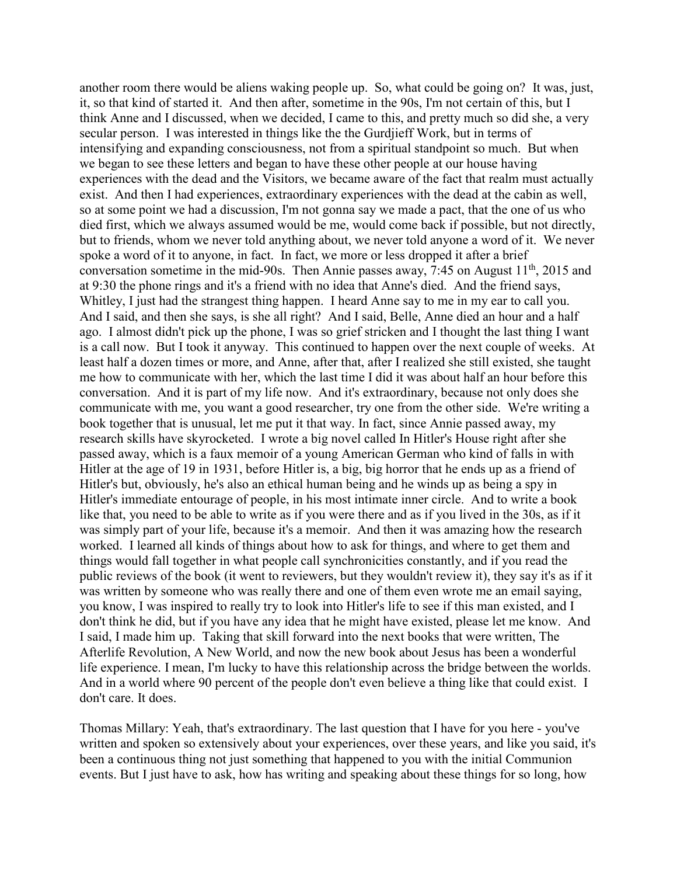another room there would be aliens waking people up. So, what could be going on? It was, just, it, so that kind of started it. And then after, sometime in the 90s, I'm not certain of this, but I think Anne and I discussed, when we decided, I came to this, and pretty much so did she, a very secular person. I was interested in things like the the Gurdjieff Work, but in terms of intensifying and expanding consciousness, not from a spiritual standpoint so much. But when we began to see these letters and began to have these other people at our house having experiences with the dead and the Visitors, we became aware of the fact that realm must actually exist. And then I had experiences, extraordinary experiences with the dead at the cabin as well, so at some point we had a discussion, I'm not gonna say we made a pact, that the one of us who died first, which we always assumed would be me, would come back if possible, but not directly, but to friends, whom we never told anything about, we never told anyone a word of it. We never spoke a word of it to anyone, in fact. In fact, we more or less dropped it after a brief conversation sometime in the mid-90s. Then Annie passes away, 7:45 on August  $11<sup>th</sup>$ , 2015 and at 9:30 the phone rings and it's a friend with no idea that Anne's died. And the friend says, Whitley, I just had the strangest thing happen. I heard Anne say to me in my ear to call you. And I said, and then she says, is she all right? And I said, Belle, Anne died an hour and a half ago. I almost didn't pick up the phone, I was so grief stricken and I thought the last thing I want is a call now. But I took it anyway. This continued to happen over the next couple of weeks. At least half a dozen times or more, and Anne, after that, after I realized she still existed, she taught me how to communicate with her, which the last time I did it was about half an hour before this conversation. And it is part of my life now. And it's extraordinary, because not only does she communicate with me, you want a good researcher, try one from the other side. We're writing a book together that is unusual, let me put it that way. In fact, since Annie passed away, my research skills have skyrocketed. I wrote a big novel called In Hitler's House right after she passed away, which is a faux memoir of a young American German who kind of falls in with Hitler at the age of 19 in 1931, before Hitler is, a big, big horror that he ends up as a friend of Hitler's but, obviously, he's also an ethical human being and he winds up as being a spy in Hitler's immediate entourage of people, in his most intimate inner circle. And to write a book like that, you need to be able to write as if you were there and as if you lived in the 30s, as if it was simply part of your life, because it's a memoir. And then it was amazing how the research worked. I learned all kinds of things about how to ask for things, and where to get them and things would fall together in what people call synchronicities constantly, and if you read the public reviews of the book (it went to reviewers, but they wouldn't review it), they say it's as if it was written by someone who was really there and one of them even wrote me an email saying, you know, I was inspired to really try to look into Hitler's life to see if this man existed, and I don't think he did, but if you have any idea that he might have existed, please let me know. And I said, I made him up. Taking that skill forward into the next books that were written, The Afterlife Revolution, A New World, and now the new book about Jesus has been a wonderful life experience. I mean, I'm lucky to have this relationship across the bridge between the worlds. And in a world where 90 percent of the people don't even believe a thing like that could exist. I don't care. It does.

Thomas Millary: Yeah, that's extraordinary. The last question that I have for you here - you've written and spoken so extensively about your experiences, over these years, and like you said, it's been a continuous thing not just something that happened to you with the initial Communion events. But I just have to ask, how has writing and speaking about these things for so long, how